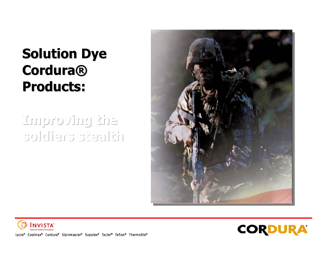# **Solution Dye Solution Dye Cordura® Cordura® Products: Products:**

# **Improving the Improving the Improving the soldiers stealth soldiers stealth soldiers stealth**







Lycra® Coolmax® Cordura® Stainmaster® Supplex® Tactel® Teflon® Thermolite®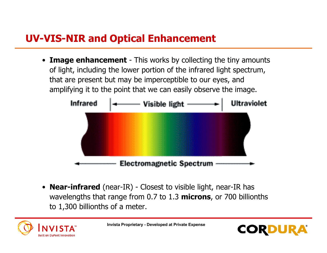# **UV-VIS-NIR and Optical Enhancement**

• **Image enhancement** - This works by collecting the tiny amounts of light, including the lower portion of the infrared light spectrum, that are present but may be imperceptible to our eyes, and amplifying it to the point that we can easily observe the image.



• **Near-infrared** (near-IR) - Closest to visible light, near-IR has wavelengths that range from 0.7 to 1.3 **microns**, or 700 billionths to 1,300 billionths of a meter.



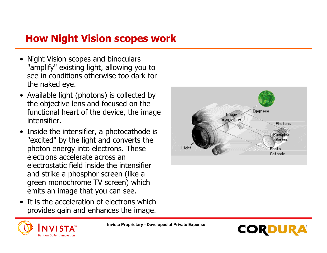# **How Night Vision scopes work**

- Night Vision scopes and binoculars "amplify" existing light, allowing you to see in conditions otherwise too dark forthe naked eye.
- Available light (photons) is collected by the objective lens and focused on the functional heart of the device, the image intensifier.
- • Inside the intensifier, a photocathode is "excited" by the light and converts the photon energy into electrons. These electrons accelerate across anelectrostatic field inside the intensifierand strike a phosphor screen (like a green monochrome TV screen) which emits an image that you can see.
- • It is the acceleration of electrons whichprovides gain and enhances the image.





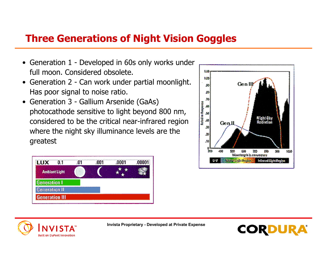# **Three Generations of Night Vision Goggles**

- Generation 1 Developed in 60s only works under full moon. Considered obsolete.
- • Generation 2 - Can work under partial moonlight. Has poor signal to noise ratio.
- • Generation 3 - Gallium Arsenide (GaAs) photocathode sensitive to light beyond 800 nm, considered to be the critical near-infrared region where the night sky illuminance levels are the greatest







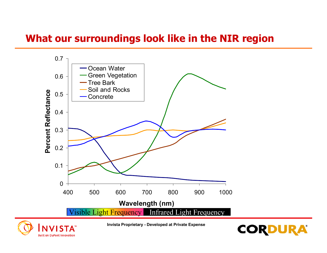# **What our surroundings look like in the NIR region**





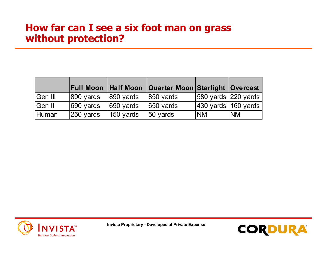#### **How far can I see a six foot man on grass without protection?**

|         |                      | <b>Full Moon Half Moon</b> | <b>Quarter Moon Starlight Overcast</b> |                                           |            |
|---------|----------------------|----------------------------|----------------------------------------|-------------------------------------------|------------|
| Gen III | 890 yards            | $ 890 \rangle$ yards       | $ 850 \rangle$ yards                   | 580 yards $ 220$ yards                    |            |
| Gen II  | 690 yards            | 690 yards                  | $ 650 \rangle$ yards                   | $ 430 \rangle$ yards $ 160 \rangle$ yards |            |
| Human   | $ 250 \rangle$ vards | $150$ yards                | 50 yards                               | <b>INM</b>                                | <b>INM</b> |



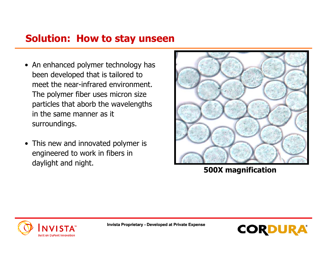# **Solution: How to stay unseen**

- An enhanced polymer technology has been developed that is tailored to meet the near-infrared environment.The polymer fiber uses micron size particles that aborb the wavelengths in the same manner as itsurroundings.
- This new and innovated polymer is engineered to work in fibers in daylight and night. **500X magnification**





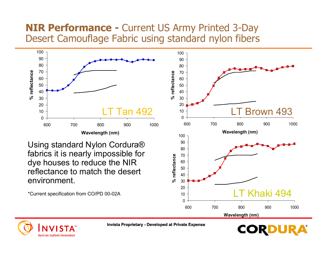### **NIR Performance -** Current US Army Printed 3-Day Desert Camouflage Fabric using standard nylon fibers



\*Current specification from CO/PD 00-02A

**Built on DuPont Innovation** 

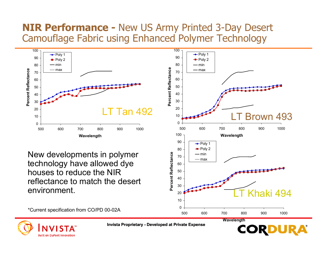### **NIR Performance -** New US Army Printed 3-Day Desert Camouflage Fabric using Enhanced Polymer Technology



reflectance to match the desertenvironment.

 $\Omega$ 102030

**Wavelength**

500 600 700 800 900 1000



LT Khaki 494

\*Current specification from CO/PD 00-02A

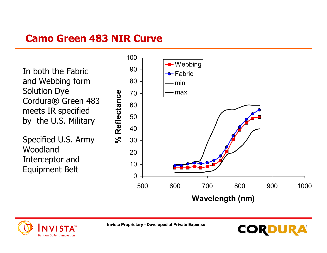# **Camo Green 483 NIR Curve**

In both the Fabricand Webbing form Solution Dye Cordura® Green 483 meets IR specified by the U.S. Military

Specified U.S. Army WoodlandInterceptor and Equipment Belt
<sup>10</sup>



**CORD** 

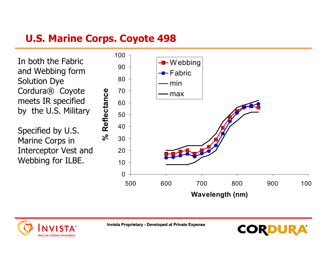# **U.S. Marine Corps. Coyote 498**

In both the Fabricand Webbing form Solution Dye Cordura® Coyote meets IR specified by the U.S. Military

Specified by U.S. Marine Corps in Interceptor Vest and Webbing for ILBE.



CORDU

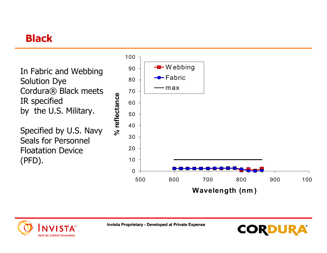# **Black**





**Invista Proprietary - Developed at Private Expense**

**CORDUR**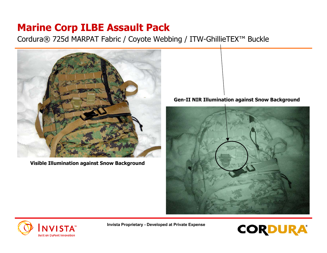# **Marine Corp ILBE Assault Pack**

Cordura® 725d MARPAT Fabric / Coyote Webbing / ITW-GhillieTEX™ Buckle



**Visible Illumination against Snow Background**

#### **Gen-II NIR Illumination against Snow Background**